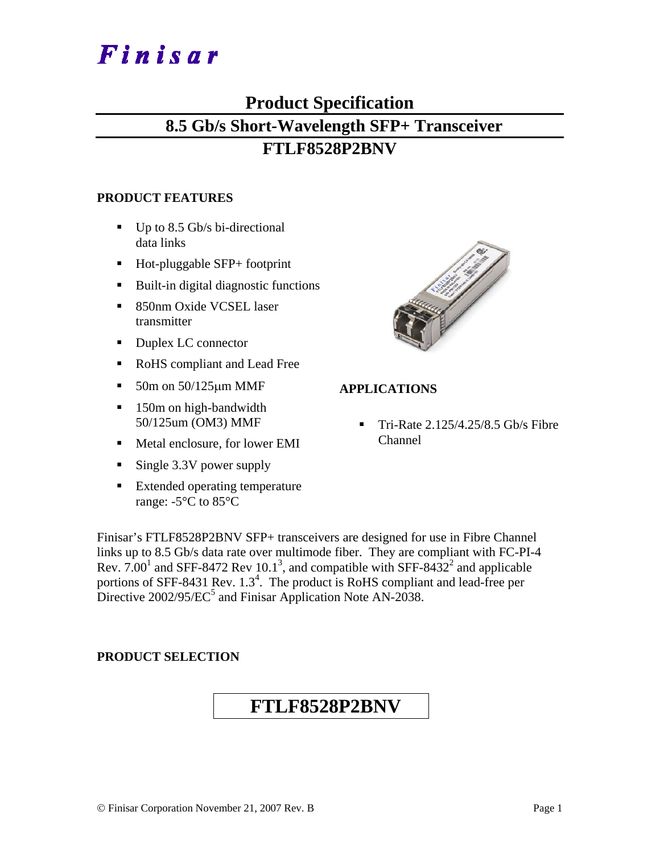# Finisar

## **Product Specification 8.5 Gb/s Short-Wavelength SFP+ Transceiver**

### **FTLF8528P2BNV**

#### **PRODUCT FEATURES**

- $\blacksquare$  Up to 8.5 Gb/s bi-directional data links
- Hot-pluggable SFP+ footprint
- Built-in digital diagnostic functions
- 850nm Oxide VCSEL laser transmitter
- Duplex LC connector
- RoHS compliant and Lead Free
- $\blacksquare$  50m on 50/125  $\mu$ m MMF
- 150m on high-bandwidth 50/125um (OM3) MMF
- Metal enclosure, for lower EMI
- Single 3.3V power supply
- **Extended operating temperature** range: -5°C to 85°C



#### **APPLICATIONS**

 Tri-Rate 2.125/4.25/8.5 Gb/s Fibre Channel

Finisar's FTLF8528P2BNV SFP+ transceivers are designed for use in Fibre Channel links up to 8.5 Gb/s data rate over multimode fiber. They are compliant with FC-PI-4 Rev. 7.00<sup>1</sup> and SFF-8472 Rev 10.1<sup>3</sup>, and compatible with SFF-8432<sup>2</sup> and applicable portions of SFF-8431 Rev.  $1.3<sup>4</sup>$ . The product is RoHS compliant and lead-free per Directive  $2002/95/EC^5$  and Finisar Application Note AN-2038.

#### **PRODUCT SELECTION**

## **FTLF8528P2BNV**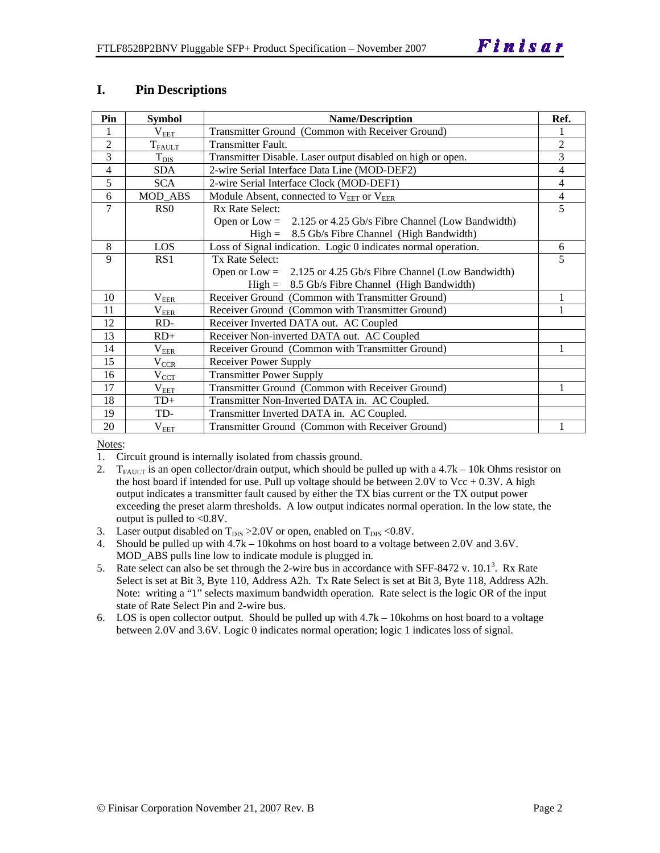#### **I. Pin Descriptions**

| Pin            | <b>Symbol</b>         | <b>Name/Description</b>                                          | Ref.           |
|----------------|-----------------------|------------------------------------------------------------------|----------------|
| 1              | $\rm V_{\rm EET}$     | Transmitter Ground (Common with Receiver Ground)                 |                |
| $\overline{2}$ | $T_{\rm FALLT}$       | Transmitter Fault.                                               | $\overline{2}$ |
| 3              | $T_{\text{DIS}}$      | Transmitter Disable. Laser output disabled on high or open.      | 3              |
| $\overline{4}$ | <b>SDA</b>            | 2-wire Serial Interface Data Line (MOD-DEF2)                     | 4              |
| 5              | <b>SCA</b>            | 2-wire Serial Interface Clock (MOD-DEF1)                         | $\overline{4}$ |
| 6              | MOD ABS               | Module Absent, connected to V <sub>EET</sub> or V <sub>EER</sub> | $\overline{4}$ |
| 7              | R <sub>S</sub> O      | Rx Rate Select:                                                  | 5              |
|                |                       | Open or Low = $2.125$ or 4.25 Gb/s Fibre Channel (Low Bandwidth) |                |
|                |                       | $High = 8.5 \text{Gb/s}$ Fibre Channel (High Bandwidth)          |                |
| 8              | LOS                   | Loss of Signal indication. Logic 0 indicates normal operation.   | 6              |
| 9              | RS1                   | Tx Rate Select:                                                  | 5              |
|                |                       | Open or $Low = 2.125$ or 4.25 Gb/s Fibre Channel (Low Bandwidth) |                |
|                |                       | $High = 8.5 \text{Gb/s}$ Fibre Channel (High Bandwidth)          |                |
| 10             | $\rm V_{EER}$         | Receiver Ground (Common with Transmitter Ground)                 |                |
| 11             | $\rm V_{\rm EER}$     | Receiver Ground (Common with Transmitter Ground)                 |                |
| 12             | RD-                   | Receiver Inverted DATA out. AC Coupled                           |                |
| 13             | $RD+$                 | Receiver Non-inverted DATA out. AC Coupled                       |                |
| 14             | $\rm V_{\rm EER}$     | Receiver Ground (Common with Transmitter Ground)                 |                |
| 15             | $V_{\underline{CCR}}$ | <b>Receiver Power Supply</b>                                     |                |
| 16             | $\rm V_{\rm CCT}$     | <b>Transmitter Power Supply</b>                                  |                |
| 17             | $\rm V_{\rm EET}$     | Transmitter Ground (Common with Receiver Ground)                 |                |
| 18             | $TD+$                 | Transmitter Non-Inverted DATA in. AC Coupled.                    |                |
| 19             | TD-                   | Transmitter Inverted DATA in. AC Coupled.                        |                |
| 20             | $\rm V_{EET}$         | Transmitter Ground (Common with Receiver Ground)                 |                |

Notes:

1. Circuit ground is internally isolated from chassis ground.

- 2.  $T_{FATU T}$  is an open collector/drain output, which should be pulled up with a 4.7k 10k Ohms resistor on the host board if intended for use. Pull up voltage should be between 2.0V to Vcc  $+ 0.3V$ . A high output indicates a transmitter fault caused by either the TX bias current or the TX output power exceeding the preset alarm thresholds. A low output indicates normal operation. In the low state, the output is pulled to <0.8V.
- 3. Laser output disabled on  $T_{DIS} > 2.0V$  or open, enabled on  $T_{DIS} < 0.8V$ .
- 4. Should be pulled up with 4.7k 10kohms on host board to a voltage between 2.0V and 3.6V. MOD\_ABS pulls line low to indicate module is plugged in.
- 5. Rate select can also be set through the 2-wire bus in accordance with SFF-8472 v.  $10.1<sup>3</sup>$ . Rx Rate Select is set at Bit 3, Byte 110, Address A2h. Tx Rate Select is set at Bit 3, Byte 118, Address A2h. Note: writing a "1" selects maximum bandwidth operation. Rate select is the logic OR of the input state of Rate Select Pin and 2-wire bus.
- 6. LOS is open collector output. Should be pulled up with 4.7k 10kohms on host board to a voltage between 2.0V and 3.6V. Logic 0 indicates normal operation; logic 1 indicates loss of signal.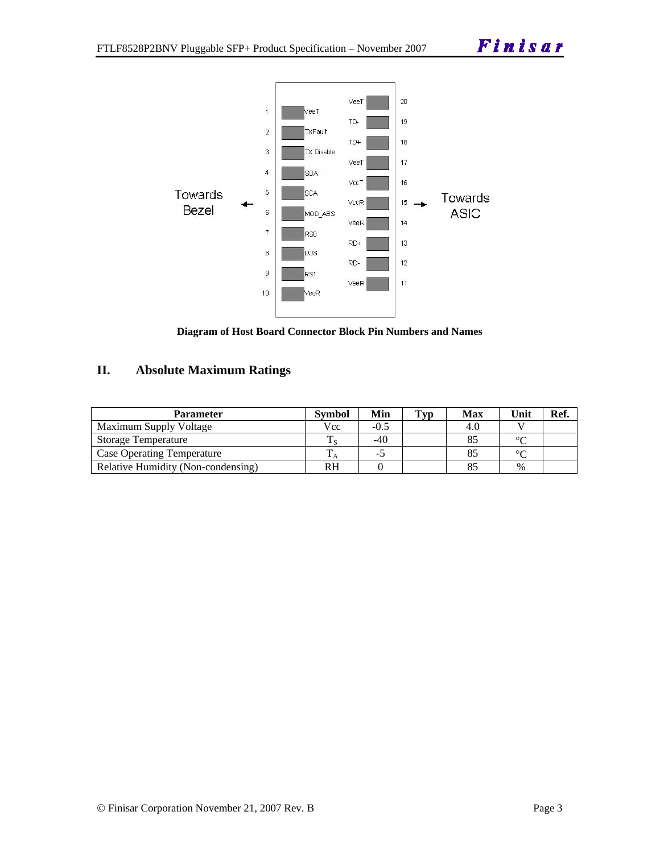

**Diagram of Host Board Connector Block Pin Numbers and Names** 

#### **II. Absolute Maximum Ratings**

| <b>Parameter</b>                   | <b>Symbol</b> | Min    | $\mathbf{T}_{\mathbf{V}\mathbf{D}}$ | <b>Max</b> | Unit   | Ref. |
|------------------------------------|---------------|--------|-------------------------------------|------------|--------|------|
| Maximum Supply Voltage             | Vcc           | $-0.5$ |                                     | 4.0        |        |      |
| Storage Temperature                |               | $-40$  |                                     |            | ∘∩     |      |
| <b>Case Operating Temperature</b>  |               | -0     |                                     |            | $\sim$ |      |
| Relative Humidity (Non-condensing) | <b>RH</b>     |        |                                     |            | $\%$   |      |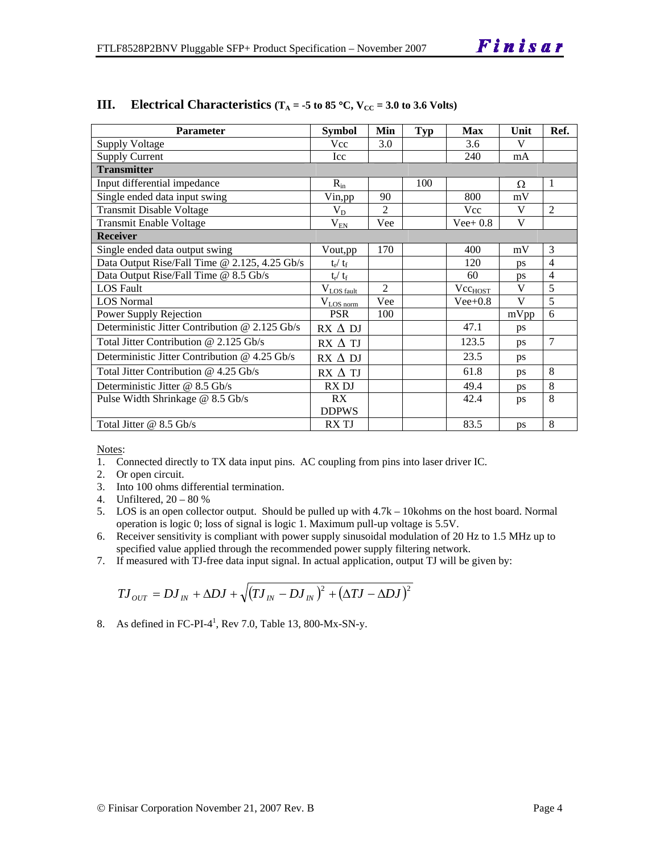| <b>Parameter</b>                                | <b>Symbol</b>           | Min            | <b>Typ</b> | <b>Max</b>          | Unit      | Ref.           |
|-------------------------------------------------|-------------------------|----------------|------------|---------------------|-----------|----------------|
| <b>Supply Voltage</b>                           | <b>Vcc</b>              | 3.0            |            | 3.6                 | V         |                |
| <b>Supply Current</b>                           | Icc                     |                |            | 240                 | mA        |                |
| <b>Transmitter</b>                              |                         |                |            |                     |           |                |
| Input differential impedance                    | $R_{in}$                |                | 100        |                     | Ω         | 1              |
| Single ended data input swing                   | Vin, pp                 | 90             |            | 800                 | mV        |                |
| <b>Transmit Disable Voltage</b>                 | $V_D$                   | $\overline{c}$ |            | Vcc                 | V         | $\overline{2}$ |
| <b>Transmit Enable Voltage</b>                  | $\rm V_{\rm EN}$        | Vee            |            | $Vee+0.8$           | V         |                |
| <b>Receiver</b>                                 |                         |                |            |                     |           |                |
| Single ended data output swing                  | Vout, pp                | 170            |            | 400                 | mV        | 3              |
| Data Output Rise/Fall Time @ 2.125, 4.25 Gb/s   | $t_{\rm r} / t_{\rm f}$ |                |            | 120                 | ps        | $\overline{4}$ |
| Data Output Rise/Fall Time @ 8.5 Gb/s           | $t_{\rm r} / t_{\rm f}$ |                |            | 60                  | ps        | 4              |
| <b>LOS</b> Fault                                | $V_{LOS fault}$         | $\overline{c}$ |            | Vcc <sub>HOST</sub> | V         | 5              |
| <b>LOS Normal</b>                               | $V_{LOS\,norm}$         | Vee            |            | $Vee+0.8$           | V         | 5              |
| Power Supply Rejection                          | <b>PSR</b>              | 100            |            |                     | mVpp      | 6              |
| Deterministic Jitter Contribution @ 2.125 Gb/s  | $RX \Delta DI$          |                |            | 47.1                | ps        |                |
| Total Jitter Contribution @ 2.125 Gb/s          | $RX \Delta TI$          |                |            | 123.5               | ps        | $\overline{7}$ |
| Deterministic Jitter Contribution $@$ 4.25 Gb/s | $RX \Delta DI$          |                |            | 23.5                | ps        |                |
| Total Jitter Contribution $@$ 4.25 Gb/s         | $RX \Delta TI$          |                |            | 61.8                | ps        | 8              |
| Deterministic Jitter @ 8.5 Gb/s                 | RX DJ                   |                |            | 49.4                | <b>ps</b> | 8              |
| Pulse Width Shrinkage @ 8.5 Gb/s                | RX                      |                |            | 42.4                | ps        | 8              |
|                                                 | <b>DDPWS</b>            |                |            |                     |           |                |
| Total Jitter $@ 8.5 \text{Gb/s}$                | <b>RXTJ</b>             |                |            | 83.5                | ps        | 8              |

#### **III. Electrical Characteristics** ( $T_A = -5$  to 85 °C,  $V_{CC} = 3.0$  to 3.6 Volts)

Notes:

- 1. Connected directly to TX data input pins. AC coupling from pins into laser driver IC.
- 2. Or open circuit.
- 3. Into 100 ohms differential termination.
- 4. Unfiltered, 20 80 %
- 5. LOS is an open collector output. Should be pulled up with 4.7k 10kohms on the host board. Normal operation is logic 0; loss of signal is logic 1. Maximum pull-up voltage is 5.5V.
- 6. Receiver sensitivity is compliant with power supply sinusoidal modulation of 20 Hz to 1.5 MHz up to specified value applied through the recommended power supply filtering network.
- 7. If measured with TJ-free data input signal. In actual application, output TJ will be given by:

$$
T J_{OUT} = D J_{IN} + \Delta D J + \sqrt{(T J_{IN} - D J_{IN})^2 + (\Delta T J - \Delta D J)^2}
$$

8. As defined in FC-PI- $4^1$ , Rev 7.0, Table 13, 800-Mx-SN-y.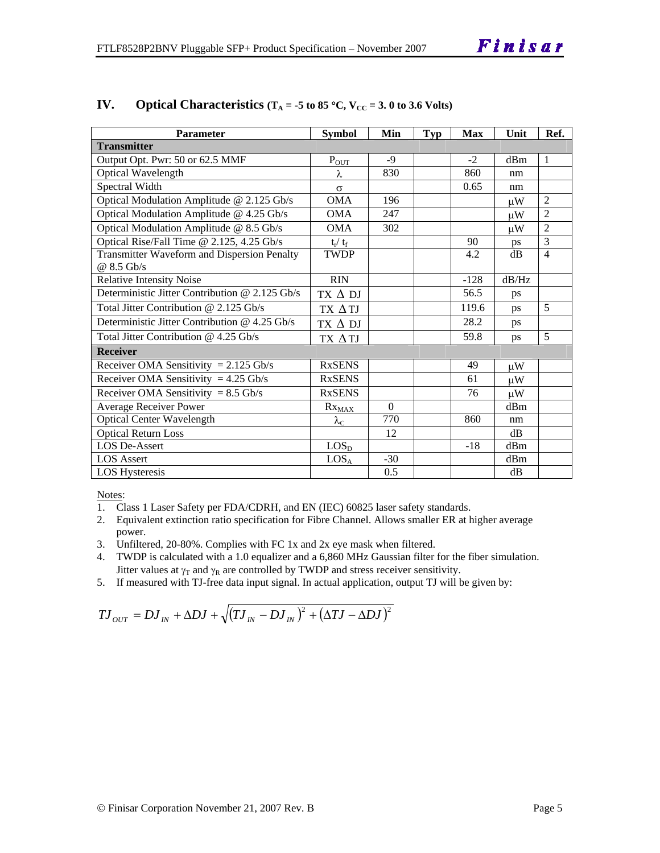| <b>Parameter</b>                               | <b>Symbol</b>          | Min      | <b>Typ</b> | <b>Max</b> | Unit    | Ref.           |
|------------------------------------------------|------------------------|----------|------------|------------|---------|----------------|
| <b>Transmitter</b>                             |                        |          |            |            |         |                |
| Output Opt. Pwr: 50 or 62.5 MMF                | $P_{\text{OUT}}$       | $-9$     |            | $-2$       | dBm     | $\mathbf{1}$   |
| Optical Wavelength                             | λ                      | 830      |            | 860        | nm      |                |
| Spectral Width                                 | $\sigma$               |          |            | 0.65       | nm      |                |
| Optical Modulation Amplitude @ 2.125 Gb/s      | <b>OMA</b>             | 196      |            |            | иW      | $\overline{2}$ |
| Optical Modulation Amplitude @ 4.25 Gb/s       | <b>OMA</b>             | 247      |            |            | $\mu$ W | $\overline{2}$ |
| Optical Modulation Amplitude @ 8.5 Gb/s        | <b>OMA</b>             | 302      |            |            | $\mu$ W | $\overline{2}$ |
| Optical Rise/Fall Time @ 2.125, 4.25 Gb/s      | $t_r / t_f$            |          |            | 90         | ps      | $\overline{3}$ |
| Transmitter Waveform and Dispersion Penalty    | <b>TWDP</b>            |          |            | 4.2        | dB      | $\overline{4}$ |
| @ 8.5 Gb/s                                     |                        |          |            |            |         |                |
| <b>Relative Intensity Noise</b>                | <b>RIN</b>             |          |            | $-128$     | dB/Hz   |                |
| Deterministic Jitter Contribution @ 2.125 Gb/s | TX $\Delta$ DJ         |          |            | 56.5       | ps      |                |
| Total Jitter Contribution @ 2.125 Gb/s         | TX ATJ                 |          |            | 119.6      | ps      | 5              |
| Deterministic Jitter Contribution @ 4.25 Gb/s  | TX $\Delta$ DJ         |          |            | 28.2       | ps      |                |
| Total Jitter Contribution @ 4.25 Gb/s          | TX ATJ                 |          |            | 59.8       | ps      | 5              |
| <b>Receiver</b>                                |                        |          |            |            |         |                |
| Receiver OMA Sensitivity = $2.125$ Gb/s        | <b>RxSENS</b>          |          |            | 49         | $\mu$ W |                |
| Receiver OMA Sensitivity = $4.25$ Gb/s         | <b>RxSENS</b>          |          |            | 61         | $\mu$ W |                |
| Receiver OMA Sensitivity = $8.5$ Gb/s          | <b>RxSENS</b>          |          |            | 76         | $\mu$ W |                |
| <b>Average Receiver Power</b>                  | $Rx_{MAX}$             | $\Omega$ |            |            | dBm     |                |
| <b>Optical Center Wavelength</b>               | $\lambda_{\mathrm{C}}$ | 770      |            | 860        | nm      |                |
| <b>Optical Return Loss</b>                     |                        | 12       |            |            | dB      |                |
| <b>LOS De-Assert</b>                           | LOS <sub>D</sub>       |          |            | $-18$      | dBm     |                |
| <b>LOS</b> Assert                              | LOS <sub>A</sub>       | $-30$    |            |            | dBm     |                |
| <b>LOS Hysteresis</b>                          |                        | 0.5      |            |            | dB      |                |

#### **IV.** Optical Characteristics ( $T_A = -5$  to 85 °C,  $V_{CC} = 3.0$  to 3.6 Volts)

Notes:

1. Class 1 Laser Safety per FDA/CDRH, and EN (IEC) 60825 laser safety standards.

- 2. Equivalent extinction ratio specification for Fibre Channel. Allows smaller ER at higher average power.
- 3. Unfiltered, 20-80%. Complies with FC 1x and 2x eye mask when filtered.
- 4. TWDP is calculated with a 1.0 equalizer and a 6,860 MHz Gaussian filter for the fiber simulation. Jitter values at  $\gamma_T$  and  $\gamma_R$  are controlled by TWDP and stress receiver sensitivity.
- 5. If measured with TJ-free data input signal. In actual application, output TJ will be given by:

$$
T J_{OUT} = D J_{IN} + \Delta D J + \sqrt{(T J_{IN} - D J_{IN})^{2} + (\Delta T J - \Delta D J)^{2}}
$$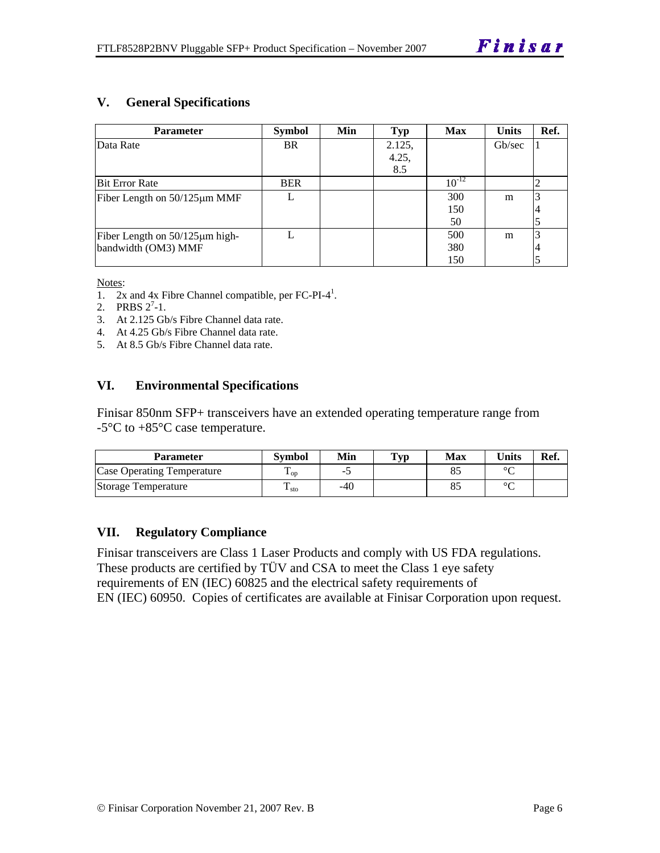#### **V. General Specifications**

| <b>Parameter</b>                     | <b>Symbol</b> | Min | <b>Typ</b> | <b>Max</b> | <b>Units</b> | Ref. |
|--------------------------------------|---------------|-----|------------|------------|--------------|------|
| Data Rate                            | <b>BR</b>     |     | 2.125,     |            | Gb/sec       |      |
|                                      |               |     | 4.25,      |            |              |      |
|                                      |               |     | 8.5        |            |              |      |
| <b>Bit Error Rate</b>                | <b>BER</b>    |     |            | $10^{-12}$ |              |      |
| Fiber Length on $50/125 \mu m$ MMF   |               |     |            | 300        | m            |      |
|                                      |               |     |            | 150        |              |      |
|                                      |               |     |            | 50         |              |      |
| Fiber Length on $50/125 \mu m$ high- |               |     |            | 500        | m            |      |
| bandwidth (OM3) MMF                  |               |     |            | 380        |              |      |
|                                      |               |     |            | 150        |              |      |

Notes:

- 1.  $2x$  and  $4x$  Fibre Channel compatible, per FC-PI-4<sup>1</sup>.
- 2. PRBS  $2^7-1$ .
- 3. At 2.125 Gb/s Fibre Channel data rate.
- 4. At 4.25 Gb/s Fibre Channel data rate.
- 5. At 8.5 Gb/s Fibre Channel data rate.

#### **VI. Environmental Specifications**

Finisar 850nm SFP+ transceivers have an extended operating temperature range from -5°C to +85°C case temperature.

| <b>Parameter</b>           | Svmbol            | Min | $\mathbf{T}_{\mathbf{V}\mathbf{p}}$ | Max | Units  | Ref. |
|----------------------------|-------------------|-----|-------------------------------------|-----|--------|------|
| Case Operating Temperature | $\mathbf{L}_{OD}$ | -   |                                     |     | $\sim$ |      |
| Storage Temperature        | $\pm$ sto         | -40 |                                     |     | $\sim$ |      |

#### **VII. Regulatory Compliance**

Finisar transceivers are Class 1 Laser Products and comply with US FDA regulations. These products are certified by TÜV and CSA to meet the Class 1 eye safety requirements of EN (IEC) 60825 and the electrical safety requirements of EN (IEC) 60950. Copies of certificates are available at Finisar Corporation upon request.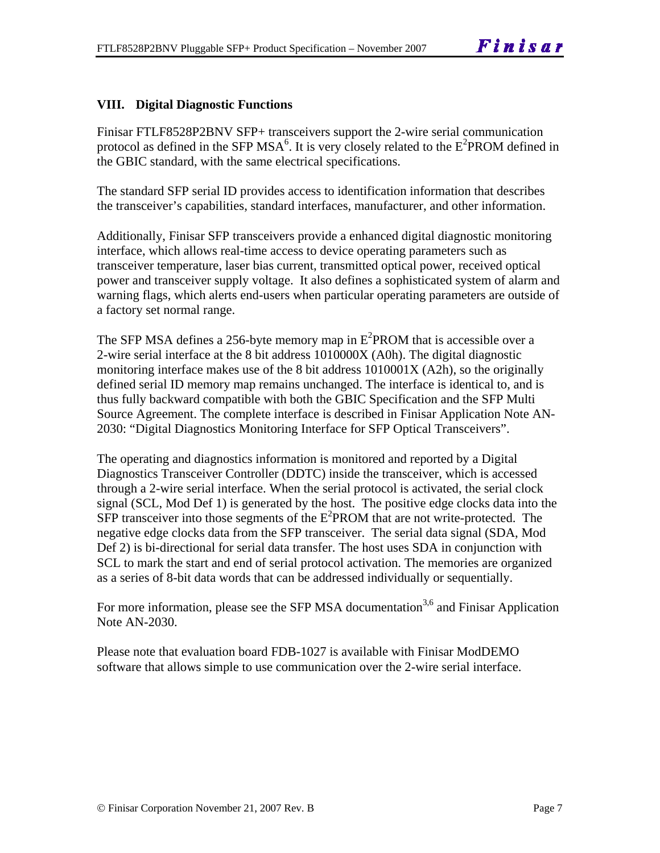#### **VIII. Digital Diagnostic Functions**

Finisar FTLF8528P2BNV SFP+ transceivers support the 2-wire serial communication protocol as defined in the SFP MSA<sup>6</sup>. It is very closely related to the  $E^2$ PROM defined in the GBIC standard, with the same electrical specifications.

The standard SFP serial ID provides access to identification information that describes the transceiver's capabilities, standard interfaces, manufacturer, and other information.

Additionally, Finisar SFP transceivers provide a enhanced digital diagnostic monitoring interface, which allows real-time access to device operating parameters such as transceiver temperature, laser bias current, transmitted optical power, received optical power and transceiver supply voltage. It also defines a sophisticated system of alarm and warning flags, which alerts end-users when particular operating parameters are outside of a factory set normal range.

The SFP MSA defines a 256-byte memory map in  $E^2$ PROM that is accessible over a 2-wire serial interface at the 8 bit address 1010000X (A0h). The digital diagnostic monitoring interface makes use of the 8 bit address 1010001X (A2h), so the originally defined serial ID memory map remains unchanged. The interface is identical to, and is thus fully backward compatible with both the GBIC Specification and the SFP Multi Source Agreement. The complete interface is described in Finisar Application Note AN-2030: "Digital Diagnostics Monitoring Interface for SFP Optical Transceivers".

The operating and diagnostics information is monitored and reported by a Digital Diagnostics Transceiver Controller (DDTC) inside the transceiver, which is accessed through a 2-wire serial interface. When the serial protocol is activated, the serial clock signal (SCL, Mod Def 1) is generated by the host. The positive edge clocks data into the  $SFP$  transceiver into those segments of the  $E^2$ PROM that are not write-protected. The negative edge clocks data from the SFP transceiver. The serial data signal (SDA, Mod Def 2) is bi-directional for serial data transfer. The host uses SDA in conjunction with SCL to mark the start and end of serial protocol activation. The memories are organized as a series of 8-bit data words that can be addressed individually or sequentially.

For more information, please see the SFP MSA documentation<sup>3,6</sup> and Finisar Application Note AN-2030.

Please note that evaluation board FDB-1027 is available with Finisar ModDEMO software that allows simple to use communication over the 2-wire serial interface.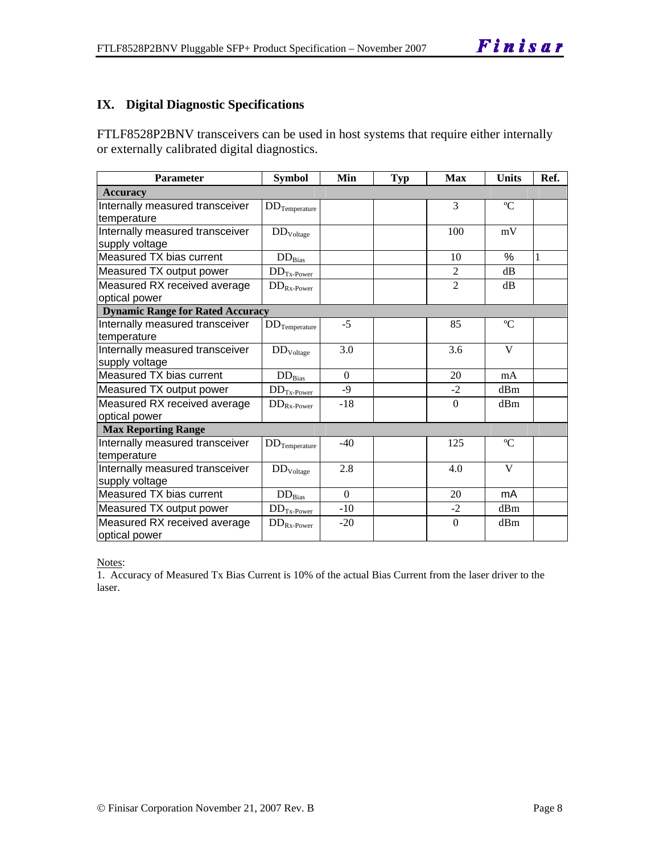#### **IX. Digital Diagnostic Specifications**

FTLF8528P2BNV transceivers can be used in host systems that require either internally or externally calibrated digital diagnostics.

| Parameter                                         | <b>Symbol</b>            | Min      | <b>Typ</b> | <b>Max</b>     | Units       | Ref. |
|---------------------------------------------------|--------------------------|----------|------------|----------------|-------------|------|
| <b>Accuracy</b>                                   |                          |          |            |                |             |      |
| Internally measured transceiver<br>temperature    | $DD$ Temperature         |          |            | 3              | $\rm ^{o}C$ |      |
| Internally measured transceiver<br>supply voltage | DD <sub>Voltage</sub>    |          |            | 100            | mV          |      |
| Measured TX bias current                          | $DD_{\rm Bias}$          |          |            | 10             | $\%$        | 1    |
| Measured TX output power                          | $DDTx-Power$             |          |            | $\overline{2}$ | dB          |      |
| Measured RX received average<br>optical power     | $DD_{Rx\text{-}Power}$   |          |            | $\overline{2}$ | dB          |      |
| <b>Dynamic Range for Rated Accuracy</b>           |                          |          |            |                |             |      |
| Internally measured transceiver<br>temperature    | $DD$ Temperature         | $-5$     |            | 85             | $\rm ^{o}C$ |      |
| Internally measured transceiver<br>supply voltage | $\rm{DD}_{\rm{Voltage}}$ | 3.0      |            | 3.6            | V           |      |
| Measured TX bias current                          | $DD_{Bias}$              | $\theta$ |            | 20             | mA          |      |
| Measured TX output power                          | $DD_{Tx\text{-Power}}$   | $-9$     |            | $-2$           | dBm         |      |
| Measured RX received average<br>optical power     | $DD_{Rx\text{-}Power}$   | $-18$    |            | $\Omega$       | dBm         |      |
| <b>Max Reporting Range</b>                        |                          |          |            |                |             |      |
| Internally measured transceiver<br>temperature    | $DD$ Temperature         | $-40$    |            | 125            | $\rm ^{o}C$ |      |
| Internally measured transceiver<br>supply voltage | DD <sub>Voltage</sub>    | 2.8      |            | 4.0            | V           |      |
| Measured TX bias current                          | $DD_{Bias}$              | $\Omega$ |            | 20             | mA          |      |
| Measured TX output power                          | $DD_{Tx\text{-Power}}$   | $-10$    |            | $-2$           | dBm         |      |
| Measured RX received average<br>optical power     | $DD_{Rx\text{-}Power}$   | $-20$    |            | $\mathbf{0}$   | dBm         |      |

Notes:

1. Accuracy of Measured Tx Bias Current is 10% of the actual Bias Current from the laser driver to the laser.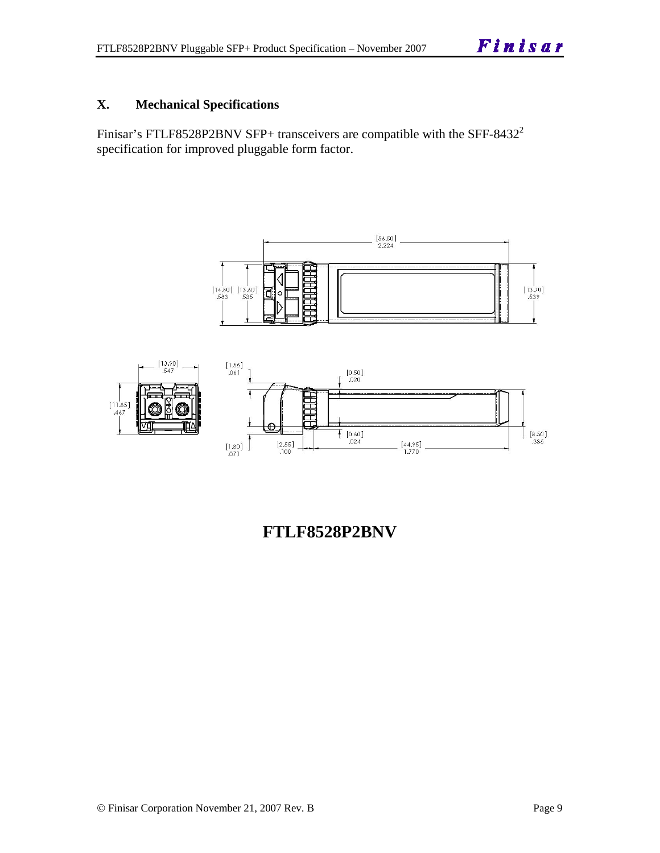#### **X. Mechanical Specifications**

Finisar's FTLF8528P2BNV SFP+ transceivers are compatible with the SFF-8432<sup>2</sup> specification for improved pluggable form factor.





**FTLF8528P2BNV**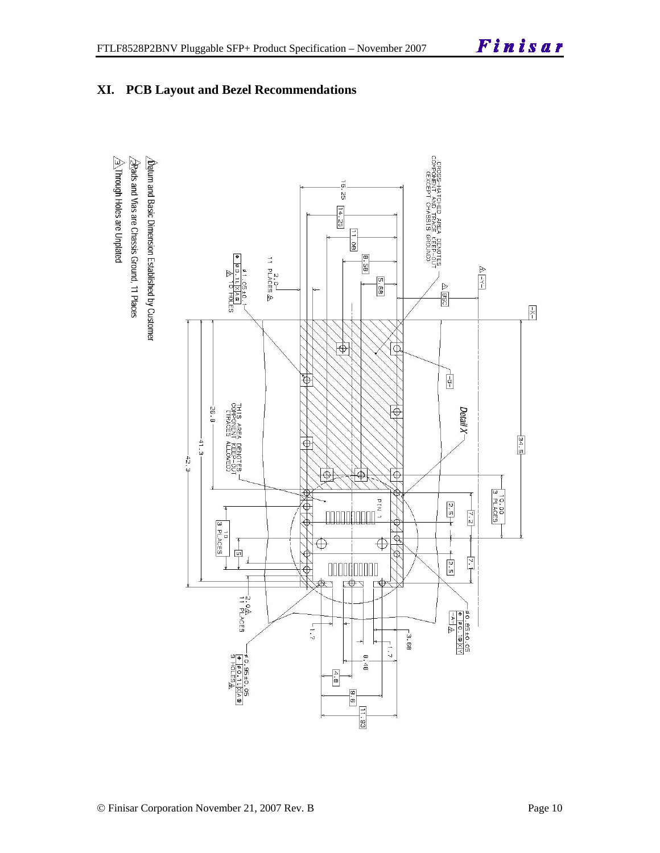

 $\hat{\triangle}$ Through Holes are Unplated  $\sqrt{2}$ Rads and Vias are Chassis Ground, 11 Places  $\Delta$  for and Basic Dimension Established by Customer

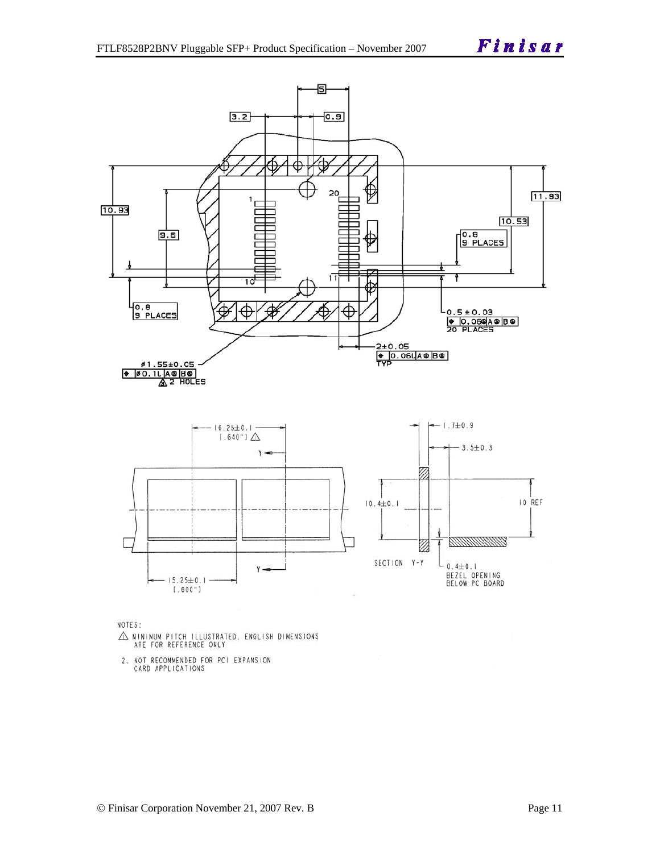

NOTES:

- $\triangle$  MINIMUM PITCH ILLUSTRATED, ENGLISH DIMENSIONS ARE FOR REFERENCE ONLY
- 2. NOT RECOMMENDED FOR PCI EXPANSION<br>CARD APPLICATIONS